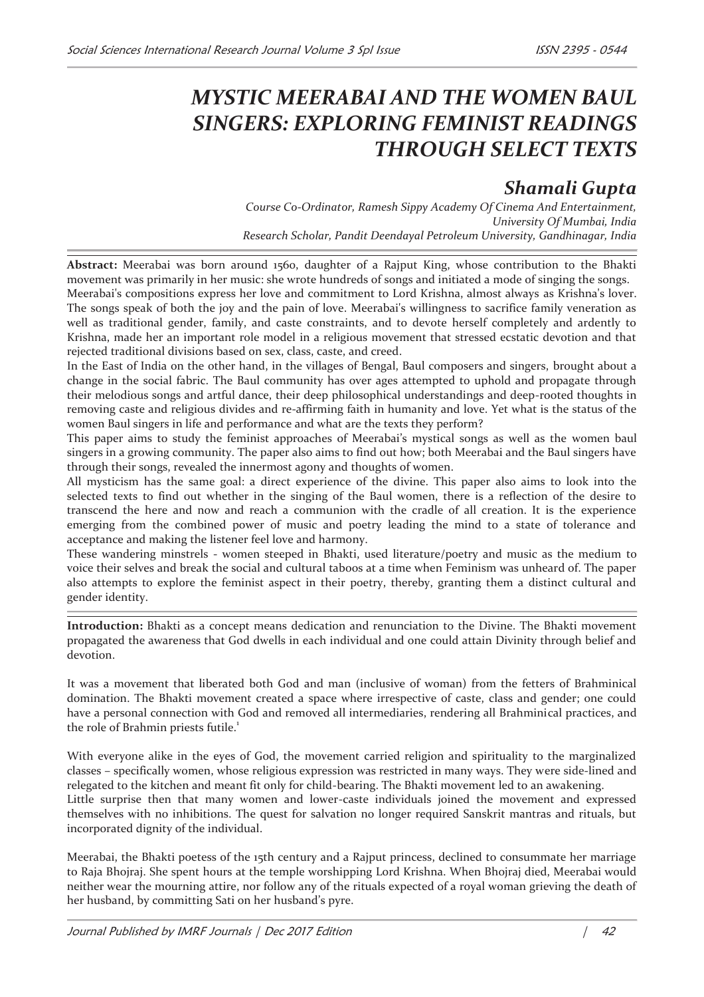# *MYSTIC MEERABAI AND THE WOMEN BAUL SINGERS: EXPLORING FEMINIST READINGS THROUGH SELECT TEXTS*

# *Shamali Gupta*

*Course Co-Ordinator, Ramesh Sippy Academy Of Cinema And Entertainment, University Of Mumbai, India Research Scholar, Pandit Deendayal Petroleum University, Gandhinagar, India* 

**Abstract:** Meerabai was born around 1560, daughter of a Rajput King, whose contribution to the Bhakti movement was primarily in her music: she wrote hundreds of songs and initiated a mode of singing the songs. Meerabai's compositions express her love and commitment to Lord Krishna, almost always as Krishna's lover. The songs speak of both the joy and the pain of love. Meerabai's willingness to sacrifice family veneration as well as traditional gender, family, and caste constraints, and to devote herself completely and ardently to Krishna, made her an important role model in a religious movement that stressed ecstatic devotion and that rejected traditional divisions based on sex, class, caste, and creed.

In the East of India on the other hand, in the villages of Bengal, Baul composers and singers, brought about a change in the social fabric. The Baul community has over ages attempted to uphold and propagate through their melodious songs and artful dance, their deep philosophical understandings and deep-rooted thoughts in removing caste and religious divides and re-affirming faith in humanity and love. Yet what is the status of the women Baul singers in life and performance and what are the texts they perform?

This paper aims to study the feminist approaches of Meerabai's mystical songs as well as the women baul singers in a growing community. The paper also aims to find out how; both Meerabai and the Baul singers have through their songs, revealed the innermost agony and thoughts of women.

All mysticism has the same goal: a direct experience of the divine. This paper also aims to look into the selected texts to find out whether in the singing of the Baul women, there is a reflection of the desire to transcend the here and now and reach a communion with the cradle of all creation. It is the experience emerging from the combined power of music and poetry leading the mind to a state of tolerance and acceptance and making the listener feel love and harmony.

These wandering minstrels - women steeped in Bhakti, used literature/poetry and music as the medium to voice their selves and break the social and cultural taboos at a time when Feminism was unheard of. The paper also attempts to explore the feminist aspect in their poetry, thereby, granting them a distinct cultural and gender identity.

**Introduction:** Bhakti as a concept means dedication and renunciation to the Divine. The Bhakti movement propagated the awareness that God dwells in each individual and one could attain Divinity through belief and devotion.

It was a movement that liberated both God and man (inclusive of woman) from the fetters of Brahminical domination. The Bhakti movement created a space where irrespective of caste, class and gender; one could have a personal connection with God and removed all intermediaries, rendering all Brahminical practices, and the role of Brahmin priests futile.<sup>1</sup>

With everyone alike in the eyes of God, the movement carried religion and spirituality to the marginalized classes – specifically women, whose religious expression was restricted in many ways. They were side-lined and relegated to the kitchen and meant fit only for child-bearing. The Bhakti movement led to an awakening.

Little surprise then that many women and lower-caste individuals joined the movement and expressed themselves with no inhibitions. The quest for salvation no longer required Sanskrit mantras and rituals, but incorporated dignity of the individual.

Meerabai, the Bhakti poetess of the 15th century and a Rajput princess, declined to consummate her marriage to Raja Bhojraj. She spent hours at the temple worshipping Lord Krishna. When Bhojraj died, Meerabai would neither wear the mourning attire, nor follow any of the rituals expected of a royal woman grieving the death of her husband, by committing Sati on her husband's pyre.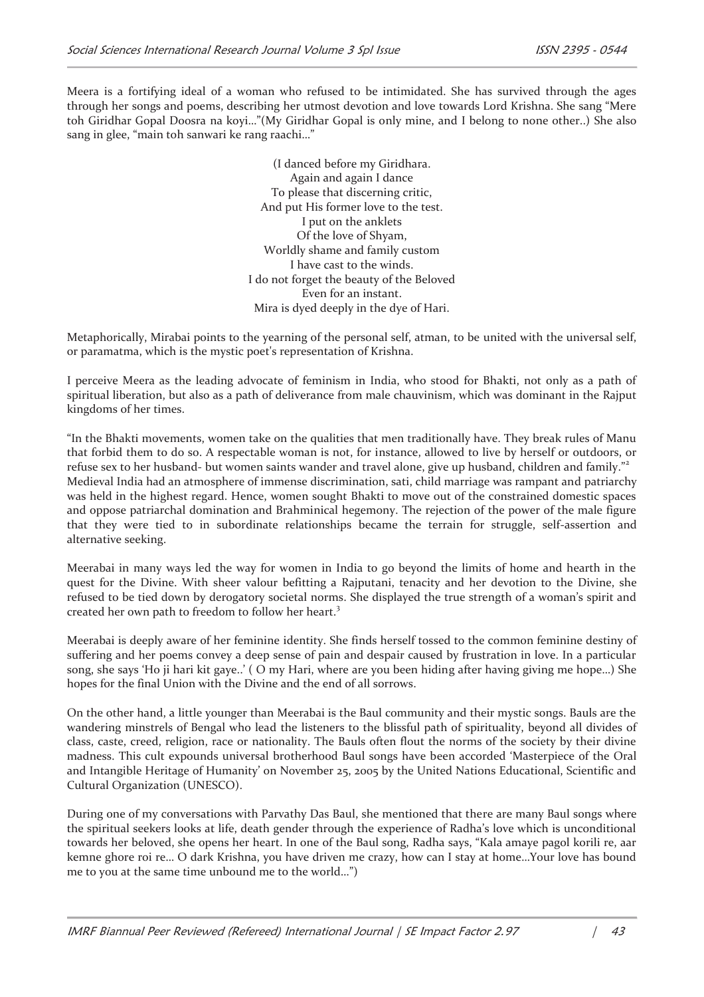Meera is a fortifying ideal of a woman who refused to be intimidated. She has survived through the ages through her songs and poems, describing her utmost devotion and love towards Lord Krishna. She sang "Mere toh Giridhar Gopal Doosra na koyi…"(My Giridhar Gopal is only mine, and I belong to none other..) She also sang in glee, "main toh sanwari ke rang raachi…"

> (I danced before my Giridhara. Again and again I dance To please that discerning critic, And put His former love to the test. I put on the anklets Of the love of Shyam, Worldly shame and family custom I have cast to the winds. I do not forget the beauty of the Beloved Even for an instant. Mira is dyed deeply in the dye of Hari.

Metaphorically, Mirabai points to the yearning of the personal self, atman, to be united with the universal self, or paramatma, which is the mystic poet's representation of Krishna.

I perceive Meera as the leading advocate of feminism in India, who stood for Bhakti, not only as a path of spiritual liberation, but also as a path of deliverance from male chauvinism, which was dominant in the Rajput kingdoms of her times.

"In the Bhakti movements, women take on the qualities that men traditionally have. They break rules of Manu that forbid them to do so. A respectable woman is not, for instance, allowed to live by herself or outdoors, or refuse sex to her husband- but women saints wander and travel alone, give up husband, children and family."<sup>2</sup> Medieval India had an atmosphere of immense discrimination, sati, child marriage was rampant and patriarchy was held in the highest regard. Hence, women sought Bhakti to move out of the constrained domestic spaces and oppose patriarchal domination and Brahminical hegemony. The rejection of the power of the male figure that they were tied to in subordinate relationships became the terrain for struggle, self-assertion and alternative seeking.

Meerabai in many ways led the way for women in India to go beyond the limits of home and hearth in the quest for the Divine. With sheer valour befitting a Rajputani, tenacity and her devotion to the Divine, she refused to be tied down by derogatory societal norms. She displayed the true strength of a woman's spirit and created her own path to freedom to follow her heart.<sup>3</sup>

Meerabai is deeply aware of her feminine identity. She finds herself tossed to the common feminine destiny of suffering and her poems convey a deep sense of pain and despair caused by frustration in love. In a particular song, she says 'Ho ji hari kit gaye..' ( O my Hari, where are you been hiding after having giving me hope…) She hopes for the final Union with the Divine and the end of all sorrows.

On the other hand, a little younger than Meerabai is the Baul community and their mystic songs. Bauls are the wandering minstrels of Bengal who lead the listeners to the blissful path of spirituality, beyond all divides of class, caste, creed, religion, race or nationality. The Bauls often flout the norms of the society by their divine madness. This cult expounds universal brotherhood Baul songs have been accorded 'Masterpiece of the Oral and Intangible Heritage of Humanity' on November 25, 2005 by the United Nations Educational, Scientific and Cultural Organization (UNESCO).

During one of my conversations with Parvathy Das Baul, she mentioned that there are many Baul songs where the spiritual seekers looks at life, death gender through the experience of Radha's love which is unconditional towards her beloved, she opens her heart. In one of the Baul song, Radha says, "Kala amaye pagol korili re, aar kemne ghore roi re… O dark Krishna, you have driven me crazy, how can I stay at home…Your love has bound me to you at the same time unbound me to the world…")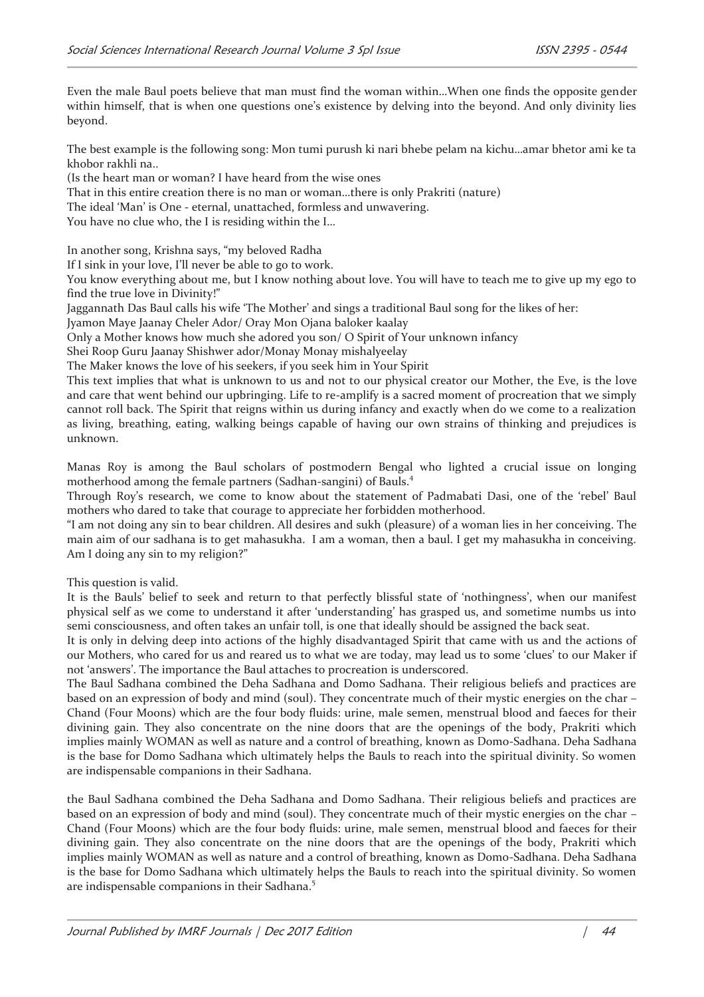Even the male Baul poets believe that man must find the woman within…When one finds the opposite gender within himself, that is when one questions one's existence by delving into the beyond. And only divinity lies beyond.

The best example is the following song: Mon tumi purush ki nari bhebe pelam na kichu…amar bhetor ami ke ta khobor rakhli na..

(Is the heart man or woman? I have heard from the wise ones

That in this entire creation there is no man or woman…there is only Prakriti (nature)

The ideal 'Man' is One - eternal, unattached, formless and unwavering.

You have no clue who, the I is residing within the I…

In another song, Krishna says, "my beloved Radha

If I sink in your love, I'll never be able to go to work.

You know everything about me, but I know nothing about love. You will have to teach me to give up my ego to find the true love in Divinity!"

Jaggannath Das Baul calls his wife 'The Mother' and sings a traditional Baul song for the likes of her:

Jyamon Maye Jaanay Cheler Ador/ Oray Mon Ojana baloker kaalay

Only a Mother knows how much she adored you son/ O Spirit of Your unknown infancy

Shei Roop Guru Jaanay Shishwer ador/Monay Monay mishalyeelay

The Maker knows the love of his seekers, if you seek him in Your Spirit

This text implies that what is unknown to us and not to our physical creator our Mother, the Eve, is the love and care that went behind our upbringing. Life to re-amplify is a sacred moment of procreation that we simply cannot roll back. The Spirit that reigns within us during infancy and exactly when do we come to a realization as living, breathing, eating, walking beings capable of having our own strains of thinking and prejudices is unknown.

Manas Roy is among the Baul scholars of postmodern Bengal who lighted a crucial issue on longing motherhood among the female partners (Sadhan-sangini) of Bauls.<sup>4</sup>

Through Roy's research, we come to know about the statement of Padmabati Dasi, one of the 'rebel' Baul mothers who dared to take that courage to appreciate her forbidden motherhood.

"I am not doing any sin to bear children. All desires and sukh (pleasure) of a woman lies in her conceiving. The main aim of our sadhana is to get mahasukha. I am a woman, then a baul. I get my mahasukha in conceiving. Am I doing any sin to my religion?"

This question is valid.

It is the Bauls' belief to seek and return to that perfectly blissful state of 'nothingness', when our manifest physical self as we come to understand it after 'understanding' has grasped us, and sometime numbs us into semi consciousness, and often takes an unfair toll, is one that ideally should be assigned the back seat.

It is only in delving deep into actions of the highly disadvantaged Spirit that came with us and the actions of our Mothers, who cared for us and reared us to what we are today, may lead us to some 'clues' to our Maker if not 'answers'. The importance the Baul attaches to procreation is underscored.

The Baul Sadhana combined the Deha Sadhana and Domo Sadhana. Their religious beliefs and practices are based on an expression of body and mind (soul). They concentrate much of their mystic energies on the char – Chand (Four Moons) which are the four body fluids: urine, male semen, menstrual blood and faeces for their divining gain. They also concentrate on the nine doors that are the openings of the body, Prakriti which implies mainly WOMAN as well as nature and a control of breathing, known as Domo-Sadhana. Deha Sadhana is the base for Domo Sadhana which ultimately helps the Bauls to reach into the spiritual divinity. So women are indispensable companions in their Sadhana.

the Baul Sadhana combined the Deha Sadhana and Domo Sadhana. Their religious beliefs and practices are based on an expression of body and mind (soul). They concentrate much of their mystic energies on the char – Chand (Four Moons) which are the four body fluids: urine, male semen, menstrual blood and faeces for their divining gain. They also concentrate on the nine doors that are the openings of the body, Prakriti which implies mainly WOMAN as well as nature and a control of breathing, known as Domo-Sadhana. Deha Sadhana is the base for Domo Sadhana which ultimately helps the Bauls to reach into the spiritual divinity. So women are indispensable companions in their Sadhana.<sup>5</sup>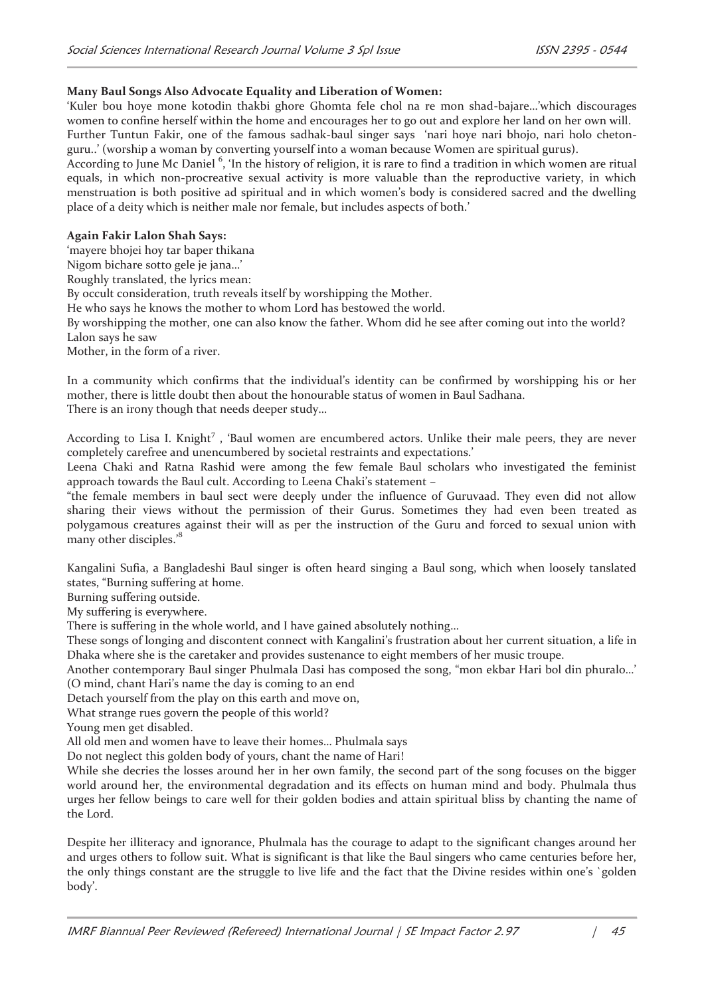## **Many Baul Songs Also Advocate Equality and Liberation of Women:**

'Kuler bou hoye mone kotodin thakbi ghore Ghomta fele chol na re mon shad-bajare…'which discourages women to confine herself within the home and encourages her to go out and explore her land on her own will. Further Tuntun Fakir, one of the famous sadhak-baul singer says 'nari hoye nari bhojo, nari holo chetonguru..' (worship a woman by converting yourself into a woman because Women are spiritual gurus).

According to June Mc Daniel <sup>6</sup>, 'In the history of religion, it is rare to find a tradition in which women are ritual equals, in which non-procreative sexual activity is more valuable than the reproductive variety, in which menstruation is both positive ad spiritual and in which women's body is considered sacred and the dwelling place of a deity which is neither male nor female, but includes aspects of both.'

### **Again Fakir Lalon Shah Says:**

'mayere bhojei hoy tar baper thikana Nigom bichare sotto gele je jana…' Roughly translated, the lyrics mean: By occult consideration, truth reveals itself by worshipping the Mother. He who says he knows the mother to whom Lord has bestowed the world. By worshipping the mother, one can also know the father. Whom did he see after coming out into the world? Lalon says he saw Mother, in the form of a river.

In a community which confirms that the individual's identity can be confirmed by worshipping his or her mother, there is little doubt then about the honourable status of women in Baul Sadhana. There is an irony though that needs deeper study…

According to Lisa I. Knight<sup>7</sup>, 'Baul women are encumbered actors. Unlike their male peers, they are never completely carefree and unencumbered by societal restraints and expectations.'

Leena Chaki and Ratna Rashid were among the few female Baul scholars who investigated the feminist approach towards the Baul cult. According to Leena Chaki's statement –

"the female members in baul sect were deeply under the influence of Guruvaad. They even did not allow sharing their views without the permission of their Gurus. Sometimes they had even been treated as polygamous creatures against their will as per the instruction of the Guru and forced to sexual union with many other disciples.<sup>8</sup>

Kangalini Sufia, a Bangladeshi Baul singer is often heard singing a Baul song, which when loosely tanslated states, "Burning suffering at home.

Burning suffering outside.

My suffering is everywhere.

There is suffering in the whole world, and I have gained absolutely nothing…

These songs of longing and discontent connect with Kangalini's frustration about her current situation, a life in Dhaka where she is the caretaker and provides sustenance to eight members of her music troupe.

Another contemporary Baul singer Phulmala Dasi has composed the song, "mon ekbar Hari bol din phuralo…' (O mind, chant Hari's name the day is coming to an end

Detach yourself from the play on this earth and move on,

What strange rues govern the people of this world?

Young men get disabled.

All old men and women have to leave their homes… Phulmala says

Do not neglect this golden body of yours, chant the name of Hari!

While she decries the losses around her in her own family, the second part of the song focuses on the bigger world around her, the environmental degradation and its effects on human mind and body. Phulmala thus urges her fellow beings to care well for their golden bodies and attain spiritual bliss by chanting the name of the Lord.

Despite her illiteracy and ignorance, Phulmala has the courage to adapt to the significant changes around her and urges others to follow suit. What is significant is that like the Baul singers who came centuries before her, the only things constant are the struggle to live life and the fact that the Divine resides within one's `golden body'.